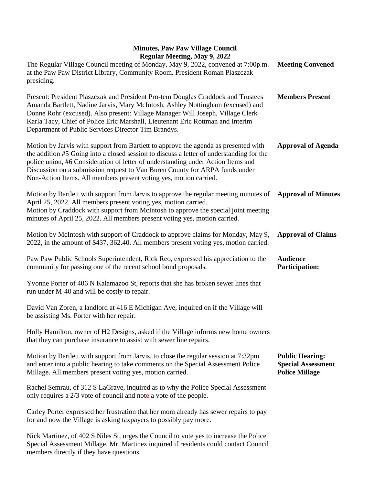| The Regular Village Council meeting of Monday, May 9, 2022, convened at 7:00p.m.<br>at the Paw Paw District Library, Community Room. President Roman Plaszczak<br>presiding.                                                                                                                                                                                                                                            | <b>Meeting Convened</b>                                                      |
|-------------------------------------------------------------------------------------------------------------------------------------------------------------------------------------------------------------------------------------------------------------------------------------------------------------------------------------------------------------------------------------------------------------------------|------------------------------------------------------------------------------|
| Present: President Plaszczak and President Pro-tem Douglas Craddock and Trustees<br>Amanda Bartlett, Nadine Jarvis, Mary McIntosh, Ashley Nottingham (excused) and<br>Donne Rohr (excused). Also present: Village Manager Will Joseph, Village Clerk<br>Karla Tacy, Chief of Police Eric Marshall, Lieutenant Eric Rottman and Interim<br>Department of Public Services Director Tim Brandys.                           | <b>Members Present</b>                                                       |
| Motion by Jarvis with support from Bartlett to approve the agenda as presented with<br>the addition #5 Going into a closed session to discuss a letter of understanding for the<br>police union, #6 Consideration of letter of understanding under Action Items and<br>Discussion on a submission request to Van Buren County for ARPA funds under<br>Non-Action Items. All members present voting yes, motion carried. | <b>Approval of Agenda</b>                                                    |
| Motion by Bartlett with support from Jarvis to approve the regular meeting minutes of<br>April 25, 2022. All members present voting yes, motion carried.<br>Motion by Craddock with support from McIntosh to approve the special joint meeting<br>minutes of April 25, 2022. All members present voting yes, motion carried.                                                                                            | <b>Approval of Minutes</b>                                                   |
| Motion by McIntosh with support of Craddock to approve claims for Monday, May 9,<br>2022, in the amount of \$437, 362.40. All members present voting yes, motion carried.                                                                                                                                                                                                                                               | <b>Approval of Claims</b>                                                    |
| Paw Paw Public Schools Superintendent, Rick Reo, expressed his appreciation to the<br>community for passing one of the recent school bond proposals.                                                                                                                                                                                                                                                                    | <b>Audience</b><br><b>Participation:</b>                                     |
| Yvonne Porter of 406 N Kalamazoo St, reports that she has broken sewer lines that<br>run under M-40 and will be costly to repair.                                                                                                                                                                                                                                                                                       |                                                                              |
| David Van Zoren, a landlord at 416 E Michigan Ave, inquired on if the Village will<br>be assisting Ms. Porter with her repair.                                                                                                                                                                                                                                                                                          |                                                                              |
| Holly Hamilton, owner of H2 Designs, asked if the Village informs new home owners<br>that they can purchase insurance to assist with sewer line repairs.                                                                                                                                                                                                                                                                |                                                                              |
| Motion by Bartlett with support from Jarvis, to close the regular session at 7:32pm<br>and enter into a public hearing to take comments on the Special Assessment Police<br>Millage. All members present voting yes, motion carried.                                                                                                                                                                                    | <b>Public Hearing:</b><br><b>Special Assessment</b><br><b>Police Millage</b> |
| Rachel Semrau, of 312 S LaGrave, inquired as to why the Police Special Assessment<br>only requires a $2/3$ vote of council and note a vote of the people.                                                                                                                                                                                                                                                               |                                                                              |
| Carley Porter expressed her frustration that her mom already has sewer repairs to pay<br>for and now the Village is asking taxpayers to possibly pay more.                                                                                                                                                                                                                                                              |                                                                              |
| Nick Martinez, of 402 S Niles St, urges the Council to vote yes to increase the Police<br>Special Assessment Millage. Mr. Martinez inquired if residents could contact Council<br>members directly if they have questions.                                                                                                                                                                                              |                                                                              |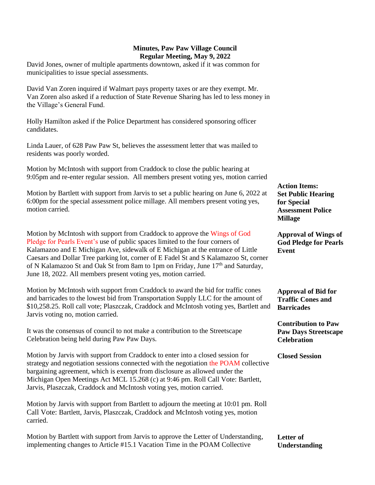David Jones, owner of multiple apartments downtown, asked if it was common for municipalities to issue special assessments.

David Van Zoren inquired if Walmart pays property taxes or are they exempt. Mr. Van Zoren also asked if a reduction of State Revenue Sharing has led to less money in the Village's General Fund.

Holly Hamilton asked if the Police Department has considered sponsoring officer candidates.

Linda Lauer, of 628 Paw Paw St, believes the assessment letter that was mailed to residents was poorly worded.

Motion by McIntosh with support from Craddock to close the public hearing at 9:05pm and re-enter regular session. All members present voting yes, motion carried

Motion by Bartlett with support from Jarvis to set a public hearing on June 6, 2022 at 6:00pm for the special assessment police millage. All members present voting yes, motion carried.

Motion by McIntosh with support from Craddock to approve the Wings of God Pledge for Pearls Event's use of public spaces limited to the four corners of Kalamazoo and E Michigan Ave, sidewalk of E Michigan at the entrance of Little Caesars and Dollar Tree parking lot, corner of E Fadel St and S Kalamazoo St, corner of N Kalamazoo St and Oak St from 8am to 1pm on Friday, June 17<sup>th</sup> and Saturday, June 18, 2022. All members present voting yes, motion carried.

Motion by McIntosh with support from Craddock to award the bid for traffic cones and barricades to the lowest bid from Transportation Supply LLC for the amount of \$10,258.25. Roll call vote; Plaszczak, Craddock and McIntosh voting yes, Bartlett and Jarvis voting no, motion carried.

It was the consensus of council to not make a contribution to the Streetscape Celebration being held during Paw Paw Days.

Motion by Jarvis with support from Craddock to enter into a closed session for strategy and negotiation sessions connected with the negotiation the POAM collective bargaining agreement, which is exempt from disclosure as allowed under the Michigan Open Meetings Act MCL 15.268 (c) at 9:46 pm. Roll Call Vote: Bartlett, Jarvis, Plaszczak, Craddock and McIntosh voting yes, motion carried.

Motion by Jarvis with support from Bartlett to adjourn the meeting at 10:01 pm. Roll Call Vote: Bartlett, Jarvis, Plaszczak, Craddock and McIntosh voting yes, motion carried.

| Motion by Bartlett with support from Jarvis to approve the Letter of Understanding, | Letter of     |
|-------------------------------------------------------------------------------------|---------------|
| implementing changes to Article #15.1 Vacation Time in the POAM Collective          | Understanding |

**Action Items: Set Public Hearing for Special Assessment Police Millage**

**Approval of Wings of God Pledge for Pearls Event**

**Approval of Bid for Traffic Cones and Barricades**

**Contribution to Paw Paw Days Streetscape Celebration**

**Closed Session**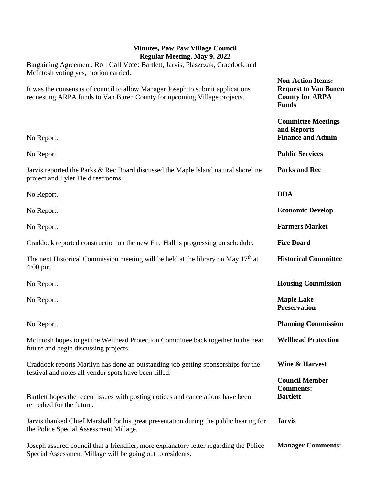**Non-Action Items: Request to Van Buren County for ARPA** 

Bargaining Agreement. Roll Call Vote: Bartlett, Jarvis, Plaszczak, Craddock and McIntosh voting yes, motion carried.

It was the consensus of council to allow Manager Joseph to submit applications requesting ARPA funds to Van Buren County for upcoming Village projects.

|                                                                                                                                                                       | <b>Funds</b>                                                         |
|-----------------------------------------------------------------------------------------------------------------------------------------------------------------------|----------------------------------------------------------------------|
| No Report.                                                                                                                                                            | <b>Committee Meetings</b><br>and Reports<br><b>Finance and Admin</b> |
| No Report.                                                                                                                                                            | <b>Public Services</b>                                               |
| Jarvis reported the Parks & Rec Board discussed the Maple Island natural shoreline<br>project and Tyler Field restrooms.                                              | <b>Parks and Rec</b>                                                 |
| No Report.                                                                                                                                                            | <b>DDA</b>                                                           |
| No Report.                                                                                                                                                            | <b>Economic Develop</b>                                              |
| No Report.                                                                                                                                                            | <b>Farmers Market</b>                                                |
| Craddock reported construction on the new Fire Hall is progressing on schedule.                                                                                       | <b>Fire Board</b>                                                    |
| The next Historical Commission meeting will be held at the library on May 17 <sup>th</sup> at<br>$4:00 \text{ pm}.$                                                   | <b>Historical Committee</b>                                          |
| No Report.                                                                                                                                                            | <b>Housing Commission</b>                                            |
| No Report.                                                                                                                                                            | <b>Maple Lake</b><br><b>Preservation</b>                             |
| No Report.                                                                                                                                                            | <b>Planning Commission</b>                                           |
| McIntosh hopes to get the Wellhead Protection Committee back together in the near<br>future and begin discussing projects.                                            | <b>Wellhead Protection</b>                                           |
| Craddock reports Marilyn has done an outstanding job getting sponsorships for the                                                                                     | <b>Wine &amp; Harvest</b>                                            |
| festival and notes all vendor spots have been filled.<br>Bartlett hopes the recent issues with posting notices and cancelations have been<br>remedied for the future. | <b>Council Member</b><br><b>Comments:</b><br><b>Bartlett</b>         |
| Jarvis thanked Chief Marshall for his great presentation during the public hearing for<br>the Police Special Assessment Millage.                                      | <b>Jarvis</b>                                                        |
| Joseph assured council that a friendlier, more explanatory letter regarding the Police<br>Special Assessment Millage will be going out to residents.                  | <b>Manager Comments:</b>                                             |